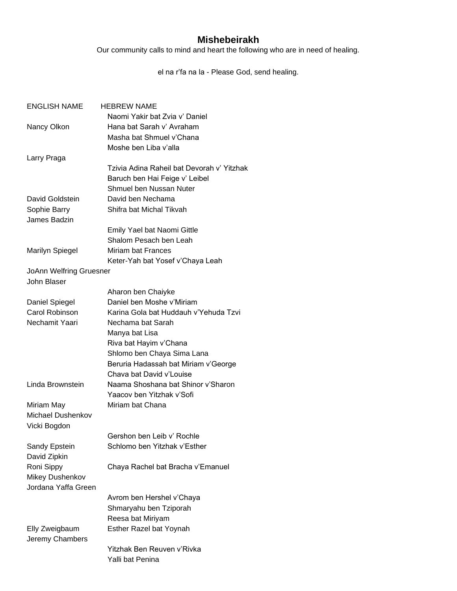## **Mishebeirakh**

Our community calls to mind and heart the following who are in need of healing.

el na r'fa na la - Please God, send healing.

| <b>ENGLISH NAME</b>            | <b>HEBREW NAME</b>                         |
|--------------------------------|--------------------------------------------|
|                                | Naomi Yakir bat Zvia v' Daniel             |
| Nancy Olkon                    | Hana bat Sarah v' Avraham                  |
|                                | Masha bat Shmuel v'Chana                   |
|                                | Moshe ben Liba v'alla                      |
| Larry Praga                    |                                            |
|                                | Tzivia Adina Raheil bat Devorah v' Yitzhak |
|                                | Baruch ben Hai Feige v' Leibel             |
|                                | Shmuel ben Nussan Nuter                    |
| David Goldstein                | David ben Nechama                          |
| Sophie Barry                   | Shifra bat Michal Tikvah                   |
| James Badzin                   |                                            |
|                                | Emily Yael bat Naomi Gittle                |
|                                | Shalom Pesach ben Leah                     |
| <b>Marilyn Spiegel</b>         | Miriam bat Frances                         |
|                                | Keter-Yah bat Yosef v'Chaya Leah           |
| <b>JoAnn Welfring Gruesner</b> |                                            |
| John Blaser                    |                                            |
|                                | Aharon ben Chaiyke                         |
| Daniel Spiegel                 | Daniel ben Moshe v'Miriam                  |
| Carol Robinson                 | Karina Gola bat Huddauh v'Yehuda Tzvi      |
| Nechamit Yaari                 | Nechama bat Sarah                          |
|                                | Manya bat Lisa                             |
|                                | Riva bat Hayim v'Chana                     |
|                                | Shlomo ben Chaya Sima Lana                 |
|                                | Beruria Hadassah bat Miriam v'George       |
|                                | Chava bat David v'Louise                   |
| Linda Brownstein               | Naama Shoshana bat Shinor v'Sharon         |
|                                | Yaacov ben Yitzhak v'Sofi                  |
| Miriam May                     | Miriam bat Chana                           |
| Michael Dushenkov              |                                            |
| Vicki Bogdon                   |                                            |
|                                | Gershon ben Leib v' Rochle                 |
| Sandy Epstein                  | Schlomo ben Yitzhak v'Esther               |
| David Zipkin                   |                                            |
| Roni Sippy                     | Chaya Rachel bat Bracha v'Emanuel          |
| Mikey Dushenkov                |                                            |
| Jordana Yaffa Green            |                                            |
|                                | Avrom ben Hershel v'Chaya                  |
|                                | Shmaryahu ben Tziporah                     |
|                                | Reesa bat Miriyam                          |
| Elly Zweigbaum                 | Esther Razel bat Yoynah                    |
| Jeremy Chambers                |                                            |
|                                | Yitzhak Ben Reuven v'Rivka                 |
|                                | Yalli bat Penina                           |